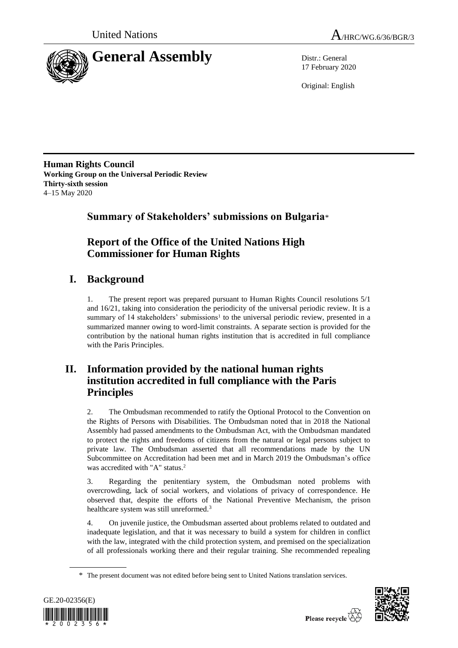



17 February 2020

Original: English

**Human Rights Council Working Group on the Universal Periodic Review Thirty-sixth session** 4–15 May 2020

**Summary of Stakeholders' submissions on Bulgaria**\*

# **Report of the Office of the United Nations High Commissioner for Human Rights**

# **I. Background**

1. The present report was prepared pursuant to Human Rights Council resolutions 5/1 and 16/21, taking into consideration the periodicity of the universal periodic review. It is a summary of 14 stakeholders' submissions<sup>1</sup> to the universal periodic review, presented in a summarized manner owing to word-limit constraints. A separate section is provided for the contribution by the national human rights institution that is accredited in full compliance with the Paris Principles.

# **II. Information provided by the national human rights institution accredited in full compliance with the Paris Principles**

2. The Ombudsman recommended to ratify the Optional Protocol to the Convention on the Rights of Persons with Disabilities. The Ombudsman noted that in 2018 the National Assembly had passed amendments to the Ombudsman Act, with the Ombudsman mandated to protect the rights and freedoms of citizens from the natural or legal persons subject to private law. The Ombudsman asserted that all recommendations made by the UN Subcommittee on Accreditation had been met and in March 2019 the Ombudsman's office was accredited with "A" status.<sup>2</sup>

3. Regarding the penitentiary system, the Ombudsman noted problems with overcrowding, lack of social workers, and violations of privacy of correspondence. He observed that, despite the efforts of the National Preventive Mechanism, the prison healthcare system was still unreformed.<sup>3</sup>

4. On juvenile justice, the Ombudsman asserted about problems related to outdated and inadequate legislation, and that it was necessary to build a system for children in conflict with the law, integrated with the child protection system, and premised on the specialization of all professionals working there and their regular training. She recommended repealing

<sup>\*</sup> The present document was not edited before being sent to United Nations translation services.



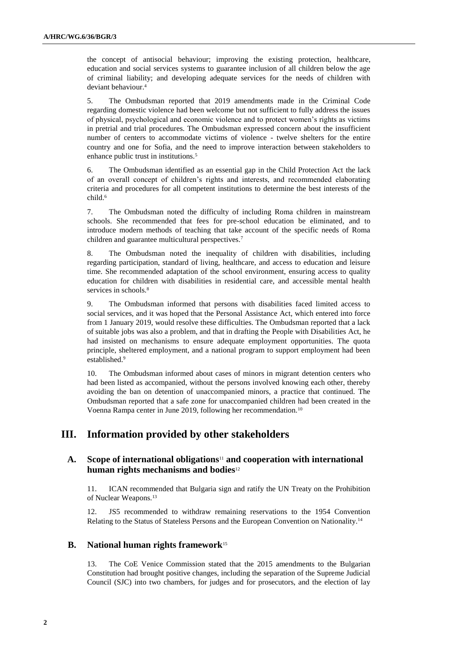the concept of antisocial behaviour; improving the existing protection, healthcare, education and social services systems to guarantee inclusion of all children below the age of criminal liability; and developing adequate services for the needs of children with deviant behaviour.<sup>4</sup>

5. The Ombudsman reported that 2019 amendments made in the Criminal Code regarding domestic violence had been welcome but not sufficient to fully address the issues of physical, psychological and economic violence and to protect women's rights as victims in pretrial and trial procedures. The Ombudsman expressed concern about the insufficient number of centers to accommodate victims of violence - twelve shelters for the entire country and one for Sofia, and the need to improve interaction between stakeholders to enhance public trust in institutions.<sup>5</sup>

6. The Ombudsman identified as an essential gap in the Child Protection Act the lack of an overall concept of children's rights and interests, and recommended elaborating criteria and procedures for all competent institutions to determine the best interests of the child.<sup>6</sup>

7. The Ombudsman noted the difficulty of including Roma children in mainstream schools. She recommended that fees for pre-school education be eliminated, and to introduce modern methods of teaching that take account of the specific needs of Roma children and guarantee multicultural perspectives.<sup>7</sup>

8. The Ombudsman noted the inequality of children with disabilities, including regarding participation, standard of living, healthcare, and access to education and leisure time. She recommended adaptation of the school environment, ensuring access to quality education for children with disabilities in residential care, and accessible mental health services in schools.<sup>8</sup>

9. The Ombudsman informed that persons with disabilities faced limited access to social services, and it was hoped that the Personal Assistance Act, which entered into force from 1 January 2019, would resolve these difficulties. The Ombudsman reported that a lack of suitable jobs was also a problem, and that in drafting the People with Disabilities Act, he had insisted on mechanisms to ensure adequate employment opportunities. The quota principle, sheltered employment, and a national program to support employment had been established.<sup>9</sup>

10. The Ombudsman informed about cases of minors in migrant detention centers who had been listed as accompanied, without the persons involved knowing each other, thereby avoiding the ban on detention of unaccompanied minors, a practice that continued. The Ombudsman reported that a safe zone for unaccompanied children had been created in the Voenna Rampa center in June 2019, following her recommendation.<sup>10</sup>

# **III. Information provided by other stakeholders**

# **A. Scope of international obligations**<sup>11</sup> **and cooperation with international human rights mechanisms and bodies**<sup>12</sup>

11. ICAN recommended that Bulgaria sign and ratify the UN Treaty on the Prohibition of Nuclear Weapons.<sup>13</sup>

12. JS5 recommended to withdraw remaining reservations to the 1954 Convention Relating to the Status of Stateless Persons and the European Convention on Nationality.<sup>14</sup>

# **B. National human rights framework**<sup>15</sup>

13. The CoE Venice Commission stated that the 2015 amendments to the Bulgarian Constitution had brought positive changes, including the separation of the Supreme Judicial Council (SJC) into two chambers, for judges and for prosecutors, and the election of lay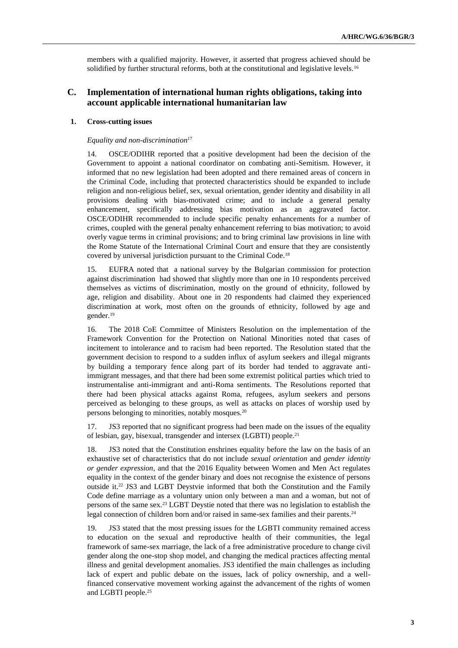members with a qualified majority. However, it asserted that progress achieved should be solidified by further structural reforms, both at the constitutional and legislative levels.<sup>16</sup>

# **C. Implementation of international human rights obligations, taking into account applicable international humanitarian law**

# **1. Cross-cutting issues**

# *Equality and non-discrimination*<sup>17</sup>

14. OSCE/ODIHR reported that a positive development had been the decision of the Government to appoint a national coordinator on combating anti-Semitism. However, it informed that no new legislation had been adopted and there remained areas of concern in the Criminal Code, including that protected characteristics should be expanded to include religion and non-religious belief, sex, sexual orientation, gender identity and disability in all provisions dealing with bias-motivated crime; and to include a general penalty enhancement, specifically addressing bias motivation as an aggravated factor. OSCE/ODIHR recommended to include specific penalty enhancements for a number of crimes, coupled with the general penalty enhancement referring to bias motivation; to avoid overly vague terms in criminal provisions; and to bring criminal law provisions in line with the Rome Statute of the International Criminal Court and ensure that they are consistently covered by universal jurisdiction pursuant to the Criminal Code.<sup>18</sup>

15. EUFRA noted that a national survey by the Bulgarian commission for protection against discrimination had showed that slightly more than one in 10 respondents perceived themselves as victims of discrimination, mostly on the ground of ethnicity, followed by age, religion and disability. About one in 20 respondents had claimed they experienced discrimination at work, most often on the grounds of ethnicity, followed by age and gender.<sup>19</sup>

16. The 2018 CoE Committee of Ministers Resolution on the implementation of the Framework Convention for the Protection on National Minorities noted that cases of incitement to intolerance and to racism had been reported*.* The Resolution stated that the government decision to respond to a sudden influx of asylum seekers and illegal migrants by building a temporary fence along part of its border had tended to aggravate antiimmigrant messages, and that there had been some extremist political parties which tried to instrumentalise anti-immigrant and anti-Roma sentiments. The Resolutions reported that there had been physical attacks against Roma, refugees, asylum seekers and persons perceived as belonging to these groups, as well as attacks on places of worship used by persons belonging to minorities, notably mosques.<sup>20</sup>

17. JS3 reported that no significant progress had been made on the issues of the equality of lesbian, gay, bisexual, transgender and intersex (LGBTI) people.<sup>21</sup>

18. JS3 noted that the Constitution enshrines equality before the law on the basis of an exhaustive set of characteristics that do not include *sexual orientation* and *gender identity or gender expression*, and that the 2016 Equality between Women and Men Act regulates equality in the context of the gender binary and does not recognise the existence of persons outside it.<sup>22</sup> JS3 and LGBT Deystvie informed that both the Constitution and the Family Code define marriage as a voluntary union only between a man and a woman, but not of persons of the same sex.<sup>23</sup> LGBT Deystie noted that there was no legislation to establish the legal connection of children born and/or raised in same-sex families and their parents.<sup>24</sup>

19. JS3 stated that the most pressing issues for the LGBTI community remained access to education on the sexual and reproductive health of their communities, the legal framework of same-sex marriage, the lack of a free administrative procedure to change civil gender along the one-stop shop model, and changing the medical practices affecting mental illness and genital development anomalies. JS3 identified the main challenges as including lack of expert and public debate on the issues, lack of policy ownership, and a wellfinanced conservative movement working against the advancement of the rights of women and LGBTI people.25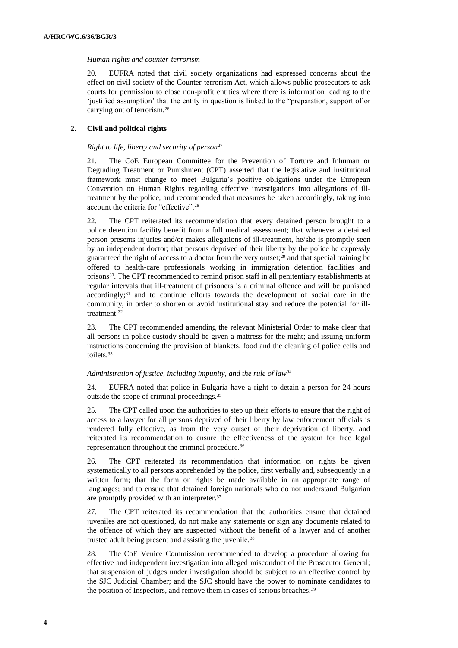## *Human rights and counter-terrorism*

20. EUFRA noted that civil society organizations had expressed concerns about the effect on civil society of the Counter-terrorism Act, which allows public prosecutors to ask courts for permission to close non-profit entities where there is information leading to the 'justified assumption' that the entity in question is linked to the "preparation, support of or carrying out of terrorism.<sup>26</sup>

# **2. Civil and political rights**

# *Right to life, liberty and security of person*<sup>27</sup>

21. The CoE European Committee for the Prevention of Torture and Inhuman or Degrading Treatment or Punishment (CPT) asserted that the legislative and institutional framework must change to meet Bulgaria's positive obligations under the European Convention on Human Rights regarding effective investigations into allegations of illtreatment by the police, and recommended that measures be taken accordingly, taking into account the criteria for "effective".<sup>28</sup>

22. The CPT reiterated its recommendation that every detained person brought to a police detention facility benefit from a full medical assessment; that whenever a detained person presents injuries and/or makes allegations of ill-treatment, he/she is promptly seen by an independent doctor; that persons deprived of their liberty by the police be expressly guaranteed the right of access to a doctor from the very outset;<sup>29</sup> and that special training be offered to health-care professionals working in immigration detention facilities and prisons<sup>30</sup>. The CPT recommended to remind prison staff in all penitentiary establishments at regular intervals that ill-treatment of prisoners is a criminal offence and will be punished accordingly;<sup>31</sup> and to continue efforts towards the development of social care in the community, in order to shorten or avoid institutional stay and reduce the potential for illtreatment.<sup>32</sup>

23. The CPT recommended amending the relevant Ministerial Order to make clear that all persons in police custody should be given a mattress for the night; and issuing uniform instructions concerning the provision of blankets, food and the cleaning of police cells and toilets.<sup>33</sup>

## *Administration of justice, including impunity, and the rule of law*<sup>34</sup>

24. EUFRA noted that police in Bulgaria have a right to detain a person for 24 hours outside the scope of criminal proceedings.<sup>35</sup>

25. The CPT called upon the authorities to step up their efforts to ensure that the right of access to a lawyer for all persons deprived of their liberty by law enforcement officials is rendered fully effective, as from the very outset of their deprivation of liberty, and reiterated its recommendation to ensure the effectiveness of the system for free legal representation throughout the criminal procedure.<sup>36</sup>

26. The CPT reiterated its recommendation that information on rights be given systematically to all persons apprehended by the police, first verbally and, subsequently in a written form; that the form on rights be made available in an appropriate range of languages; and to ensure that detained foreign nationals who do not understand Bulgarian are promptly provided with an interpreter.<sup>37</sup>

27. The CPT reiterated its recommendation that the authorities ensure that detained juveniles are not questioned, do not make any statements or sign any documents related to the offence of which they are suspected without the benefit of a lawyer and of another trusted adult being present and assisting the juvenile.<sup>38</sup>

28. The CoE Venice Commission recommended to develop a procedure allowing for effective and independent investigation into alleged misconduct of the Prosecutor General; that suspension of judges under investigation should be subject to an effective control by the SJC Judicial Chamber; and the SJC should have the power to nominate candidates to the position of Inspectors, and remove them in cases of serious breaches.<sup>39</sup>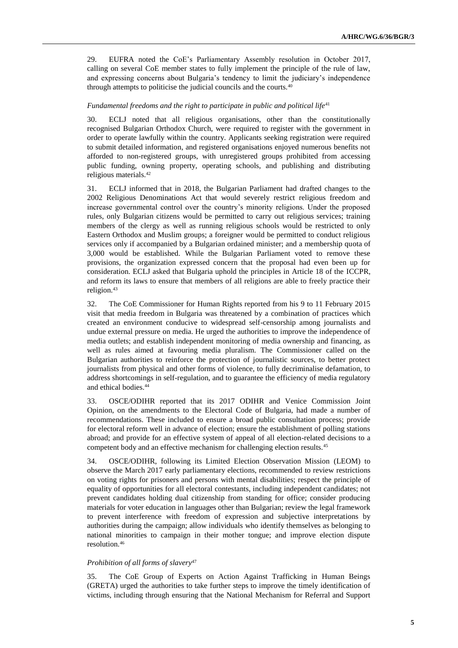29. EUFRA noted the CoE's Parliamentary Assembly resolution in October 2017, calling on several CoE member states to fully implement the principle of the rule of law, and expressing concerns about Bulgaria's tendency to limit the judiciary's independence through attempts to politicise the judicial councils and the courts.<sup>40</sup>

## *Fundamental freedoms and the right to participate in public and political life*<sup>41</sup>

30. ECLJ noted that all religious organisations, other than the constitutionally recognised Bulgarian Orthodox Church, were required to register with the government in order to operate lawfully within the country. Applicants seeking registration were required to submit detailed information, and registered organisations enjoyed numerous benefits not afforded to non-registered groups, with unregistered groups prohibited from accessing public funding, owning property, operating schools, and publishing and distributing religious materials.<sup>42</sup>

31. ECLJ informed that in 2018, the Bulgarian Parliament had drafted changes to the 2002 Religious Denominations Act that would severely restrict religious freedom and increase governmental control over the country's minority religions. Under the proposed rules, only Bulgarian citizens would be permitted to carry out religious services; training members of the clergy as well as running religious schools would be restricted to only Eastern Orthodox and Muslim groups; a foreigner would be permitted to conduct religious services only if accompanied by a Bulgarian ordained minister; and a membership quota of 3,000 would be established. While the Bulgarian Parliament voted to remove these provisions, the organization expressed concern that the proposal had even been up for consideration. ECLJ asked that Bulgaria uphold the principles in Article 18 of the ICCPR, and reform its laws to ensure that members of all religions are able to freely practice their religion.<sup>43</sup>

32. The CoE Commissioner for Human Rights reported from his 9 to 11 February 2015 visit that media freedom in Bulgaria was threatened by a combination of practices which created an environment conducive to widespread self-censorship among journalists and undue external pressure on media. He urged the authorities to improve the independence of media outlets; and establish independent monitoring of media ownership and financing, as well as rules aimed at favouring media pluralism. The Commissioner called on the Bulgarian authorities to reinforce the protection of journalistic sources, to better protect journalists from physical and other forms of violence, to fully decriminalise defamation, to address shortcomings in self-regulation, and to guarantee the efficiency of media regulatory and ethical bodies.<sup>44</sup>

33. OSCE/ODIHR reported that its 2017 ODIHR and Venice Commission Joint Opinion, on the amendments to the Electoral Code of Bulgaria, had made a number of recommendations. These included to ensure a broad public consultation process; provide for electoral reform well in advance of election; ensure the establishment of polling stations abroad; and provide for an effective system of appeal of all election-related decisions to a competent body and an effective mechanism for challenging election results.<sup>45</sup>

34. OSCE/ODIHR, following its Limited Election Observation Mission (LEOM) to observe the March 2017 early parliamentary elections, recommended to review restrictions on voting rights for prisoners and persons with mental disabilities; respect the principle of equality of opportunities for all electoral contestants, including independent candidates; not prevent candidates holding dual citizenship from standing for office; consider producing materials for voter education in languages other than Bulgarian; review the legal framework to prevent interference with freedom of expression and subjective interpretations by authorities during the campaign; allow individuals who identify themselves as belonging to national minorities to campaign in their mother tongue; and improve election dispute resolution.<sup>46</sup>

#### *Prohibition of all forms of slavery*<sup>47</sup>

35. The CoE Group of Experts on Action Against Trafficking in Human Beings (GRETA) urged the authorities to take further steps to improve the timely identification of victims, including through ensuring that the National Mechanism for Referral and Support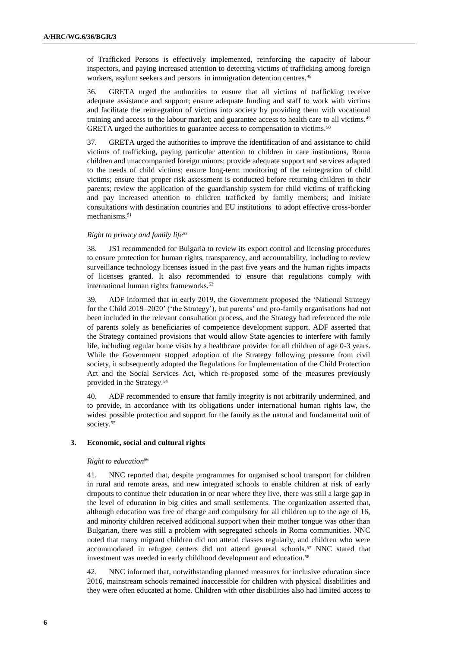of Trafficked Persons is effectively implemented, reinforcing the capacity of labour inspectors, and paying increased attention to detecting victims of trafficking among foreign workers, asylum seekers and persons in immigration detention centres.<sup>48</sup>

36. GRETA urged the authorities to ensure that all victims of trafficking receive adequate assistance and support; ensure adequate funding and staff to work with victims and facilitate the reintegration of victims into society by providing them with vocational training and access to the labour market; and guarantee access to health care to all victims.<sup>49</sup> GRETA urged the authorities to guarantee access to compensation to victims.<sup>50</sup>

37. GRETA urged the authorities to improve the identification of and assistance to child victims of trafficking, paying particular attention to children in care institutions, Roma children and unaccompanied foreign minors; provide adequate support and services adapted to the needs of child victims; ensure long-term monitoring of the reintegration of child victims; ensure that proper risk assessment is conducted before returning children to their parents; review the application of the guardianship system for child victims of trafficking and pay increased attention to children trafficked by family members; and initiate consultations with destination countries and EU institutions to adopt effective cross-border mechanisms.<sup>51</sup>

# *Right to privacy and family life*<sup>52</sup>

38. JS1 recommended for Bulgaria to review its export control and licensing procedures to ensure protection for human rights, transparency, and accountability, including to review surveillance technology licenses issued in the past five years and the human rights impacts of licenses granted. It also recommended to ensure that regulations comply with international human rights frameworks.<sup>53</sup>

39. ADF informed that in early 2019, the Government proposed the 'National Strategy for the Child 2019–2020' ('the Strategy'), but parents' and pro-family organisations had not been included in the relevant consultation process, and the Strategy had referenced the role of parents solely as beneficiaries of competence development support. ADF asserted that the Strategy contained provisions that would allow State agencies to interfere with family life, including regular home visits by a healthcare provider for all children of age 0-3 years. While the Government stopped adoption of the Strategy following pressure from civil society, it subsequently adopted the Regulations for Implementation of the Child Protection Act and the Social Services Act, which re-proposed some of the measures previously provided in the Strategy.<sup>54</sup>

ADF recommended to ensure that family integrity is not arbitrarily undermined, and to provide, in accordance with its obligations under international human rights law, the widest possible protection and support for the family as the natural and fundamental unit of society.<sup>55</sup>

# **3. Economic, social and cultural rights**

# *Right to education*<sup>56</sup>

41. NNC reported that, despite programmes for organised school transport for children in rural and remote areas, and new integrated schools to enable children at risk of early dropouts to continue their education in or near where they live, there was still a large gap in the level of education in big cities and small settlements. The organization asserted that, although education was free of charge and compulsory for all children up to the age of 16, and minority children received additional support when their mother tongue was other than Bulgarian, there was still a problem with segregated schools in Roma communities. NNC noted that many migrant children did not attend classes regularly, and children who were accommodated in refugee centers did not attend general schools.<sup>57</sup> NNC stated that investment was needed in early childhood development and education.<sup>58</sup>

42. NNC informed that, notwithstanding planned measures for inclusive education since 2016, mainstream schools remained inaccessible for children with physical disabilities and they were often educated at home. Children with other disabilities also had limited access to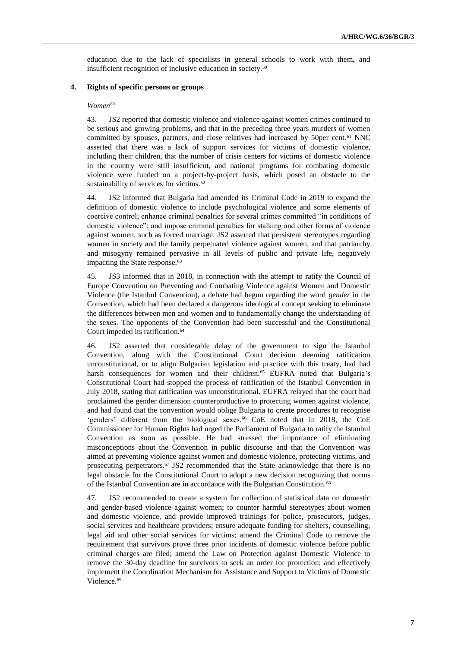education due to the lack of specialists in general schools to work with them, and insufficient recognition of inclusive education in society.<sup>59</sup>

## **4. Rights of specific persons or groups**

#### $Women^{60}$

43. JS2 reported that domestic violence and violence against women crimes continued to be serious and growing problems, and that in the preceding three years murders of women committed by spouses, partners, and close relatives had increased by 50per cent.<sup>61</sup> NNC asserted that there was a lack of support services for victims of domestic violence, including their children, that the number of crisis centers for victims of domestic violence in the country were still insufficient, and national programs for combating domestic violence were funded on a project-by-project basis, which posed an obstacle to the sustainability of services for victims.<sup>62</sup>

44. JS2 informed that Bulgaria had amended its Criminal Code in 2019 to expand the definition of domestic violence to include psychological violence and some elements of coercive control; enhance criminal penalties for several crimes committed "in conditions of domestic violence"; and impose criminal penalties for stalking and other forms of violence against women, such as forced marriage. JS2 asserted that persistent stereotypes regarding women in society and the family perpetuated violence against women, and that patriarchy and misogyny remained pervasive in all levels of public and private life, negatively impacting the State response.<sup>63</sup>

45. JS3 informed that in 2018, in connection with the attempt to ratify the Council of Europe Convention on Preventing and Combating Violence against Women and Domestic Violence (the Istanbul Convention), a debate had begun regarding the word *gender* in the Convention, which had been declared a dangerous ideological concept seeking to eliminate the differences between men and women and to fundamentally change the understanding of the sexes. The opponents of the Convention had been successful and the Constitutional Court impeded its ratification.<sup>64</sup>

46. JS2 asserted that considerable delay of the government to sign the Istanbul Convention, along with the Constitutional Court decision deeming ratification unconstitutional, or to align Bulgarian legislation and practice with this treaty, had had harsh consequences for women and their children.<sup>65</sup> EUFRA noted that Bulgaria's Constitutional Court had stopped the process of ratification of the Istanbul Convention in July 2018, stating that ratification was unconstitutional. EUFRA relayed that the court had proclaimed the gender dimension counterproductive to protecting women against violence, and had found that the convention would oblige Bulgaria to create procedures to recognise 'genders' different from the biological sexes.<sup>66</sup> CoE noted that in 2018, the CoE Commissioner for Human Rights had urged the Parliament of Bulgaria to ratify the Istanbul Convention as soon as possible. He had stressed the importance of eliminating misconceptions about the Convention in public discourse and that the Convention was aimed at preventing violence against women and domestic violence, protecting victims, and prosecuting perpetrators.<sup>67</sup> JS2 recommended that the State acknowledge that there is no legal obstacle for the Constitutional Court to adopt a new decision recognizing that norms of the Istanbul Convention are in accordance with the Bulgarian Constitution.<sup>68</sup>

47. JS2 recommended to create a system for collection of statistical data on domestic and gender-based violence against women; to counter harmful stereotypes about women and domestic violence, and provide improved trainings for police, prosecutors, judges, social services and healthcare providers; ensure adequate funding for shelters, counselling, legal aid and other social services for victims; amend the Criminal Code to remove the requirement that survivors prove three prior incidents of domestic violence before public criminal charges are filed; amend the Law on Protection against Domestic Violence to remove the 30-day deadline for survivors to seek an order for protection; and effectively implement the Coordination Mechanism for Assistance and Support to Victims of Domestic Violence.<sup>69</sup>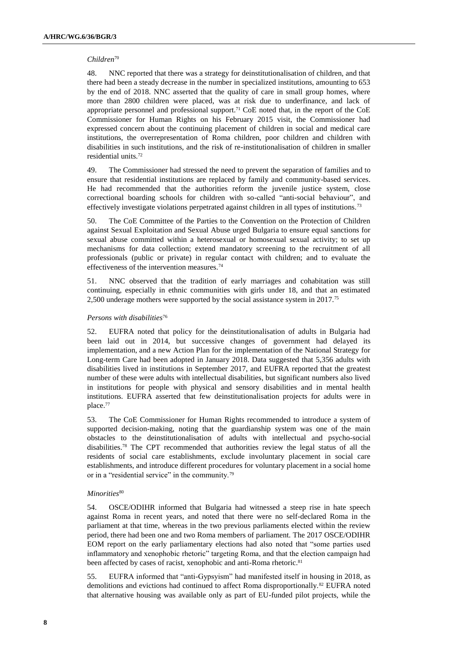# *Children*<sup>70</sup>

48. NNC reported that there was a strategy for deinstitutionalisation of children, and that there had been a steady decrease in the number in specialized institutions, amounting to 653 by the end of 2018. NNC asserted that the quality of care in small group homes, where more than 2800 children were placed, was at risk due to underfinance, and lack of appropriate personnel and professional support.<sup>71</sup> CoE noted that, in the report of the CoE Commissioner for Human Rights on his February 2015 visit, the Commissioner had expressed concern about the continuing placement of children in social and medical care institutions, the overrepresentation of Roma children, poor children and children with disabilities in such institutions, and the risk of re-institutionalisation of children in smaller residential units.<sup>72</sup>

49. The Commissioner had stressed the need to prevent the separation of families and to ensure that residential institutions are replaced by family and community-based services. He had recommended that the authorities reform the juvenile justice system, close correctional boarding schools for children with so-called "anti-social behaviour", and effectively investigate violations perpetrated against children in all types of institutions.<sup>73</sup>

50. The CoE Committee of the Parties to the Convention on the Protection of Children against Sexual Exploitation and Sexual Abuse urged Bulgaria to ensure equal sanctions for sexual abuse committed within a heterosexual or homosexual sexual activity; to set up mechanisms for data collection; extend mandatory screening to the recruitment of all professionals (public or private) in regular contact with children; and to evaluate the effectiveness of the intervention measures.<sup>74</sup>

51. NNC observed that the tradition of early marriages and cohabitation was still continuing, especially in ethnic communities with girls under 18, and that an estimated 2,500 underage mothers were supported by the social assistance system in 2017.<sup>75</sup>

# *Persons with disabilities*<sup>76</sup>

52. EUFRA noted that policy for the deinstitutionalisation of adults in Bulgaria had been laid out in 2014, but successive changes of government had delayed its implementation, and a new Action Plan for the implementation of the National Strategy for Long-term Care had been adopted in January 2018. Data suggested that 5,356 adults with disabilities lived in institutions in September 2017, and EUFRA reported that the greatest number of these were adults with intellectual disabilities, but significant numbers also lived in institutions for people with physical and sensory disabilities and in mental health institutions. EUFRA asserted that few deinstitutionalisation projects for adults were in place.<sup>77</sup>

53. The CoE Commissioner for Human Rights recommended to introduce a system of supported decision-making, noting that the guardianship system was one of the main obstacles to the deinstitutionalisation of adults with intellectual and psycho-social disabilities.<sup>78</sup> The CPT recommended that authorities review the legal status of all the residents of social care establishments, exclude involuntary placement in social care establishments, and introduce different procedures for voluntary placement in a social home or in a "residential service" in the community.<sup>79</sup>

## *Minorities*<sup>80</sup>

54. OSCE/ODIHR informed that Bulgaria had witnessed a steep rise in hate speech against Roma in recent years, and noted that there were no self-declared Roma in the parliament at that time, whereas in the two previous parliaments elected within the review period, there had been one and two Roma members of parliament. The 2017 OSCE/ODIHR EOM report on the early parliamentary elections had also noted that "some parties used inflammatory and xenophobic rhetoric" targeting Roma, and that the election campaign had been affected by cases of racist, xenophobic and anti-Roma rhetoric.<sup>81</sup>

55. EUFRA informed that "anti-Gypsyism" had manifested itself in housing in 2018, as demolitions and evictions had continued to affect Roma disproportionally.<sup>82</sup> EUFRA noted that alternative housing was available only as part of EU-funded pilot projects, while the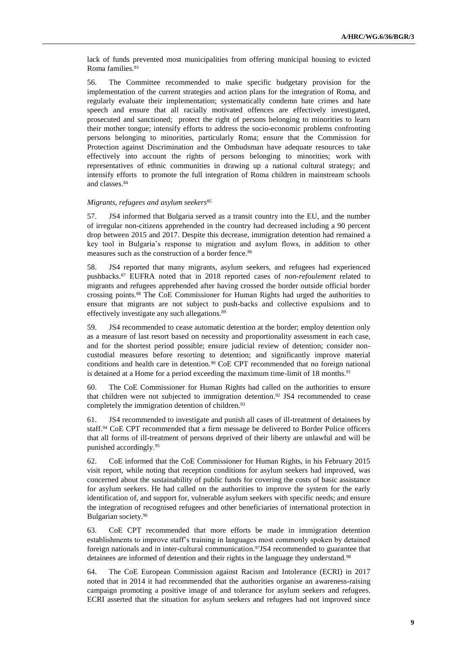lack of funds prevented most municipalities from offering municipal housing to evicted Roma families.<sup>83</sup>

56. The Committee recommended to make specific budgetary provision for the implementation of the current strategies and action plans for the integration of Roma, and regularly evaluate their implementation; systematically condemn hate crimes and hate speech and ensure that all racially motivated offences are effectively investigated, prosecuted and sanctioned; protect the right of persons belonging to minorities to learn their mother tongue; intensify efforts to address the socio-economic problems confronting persons belonging to minorities, particularly Roma; ensure that the Commission for Protection against Discrimination and the Ombudsman have adequate resources to take effectively into account the rights of persons belonging to minorities; work with representatives of ethnic communities in drawing up a national cultural strategy; and intensify efforts to promote the full integration of Roma children in mainstream schools and classes.<sup>84</sup>

#### *Migrants, refugees and asylum seekers*<sup>85</sup>

57. JS4 informed that Bulgaria served as a transit country into the EU, and the number of irregular non-citizens apprehended in the country had decreased including a 90 percent drop between 2015 and 2017. Despite this decrease, immigration detention had remained a key tool in Bulgaria's response to migration and asylum flows, in addition to other measures such as the construction of a border fence.<sup>86</sup>

58. JS4 reported that many migrants, asylum seekers, and refugees had experienced pushbacks.<sup>87</sup> EUFRA noted that in 2018 reported cases of *non-refoulement* related to migrants and refugees apprehended after having crossed the border outside official border crossing points.<sup>88</sup> The CoE Commissioner for Human Rights had urged the authorities to ensure that migrants are not subject to push-backs and collective expulsions and to effectively investigate any such allegations.<sup>89</sup>

59. JS4 recommended to cease automatic detention at the border; employ detention only as a measure of last resort based on necessity and proportionality assessment in each case, and for the shortest period possible; ensure judicial review of detention; consider noncustodial measures before resorting to detention; and significantly improve material conditions and health care in detention.<sup>90</sup> CoE CPT recommended that no foreign national is detained at a Home for a period exceeding the maximum time-limit of 18 months. 91

60. The CoE Commissioner for Human Rights had called on the authorities to ensure that children were not subjected to immigration detention.<sup>92</sup> JS4 recommended to cease completely the immigration detention of children.<sup>93</sup>

61. JS4 recommended to investigate and punish all cases of ill-treatment of detainees by staff.<sup>94</sup> CoE CPT recommended that a firm message be delivered to Border Police officers that all forms of ill-treatment of persons deprived of their liberty are unlawful and will be punished accordingly.<sup>95</sup>

62. CoE informed that the CoE Commissioner for Human Rights, in his February 2015 visit report, while noting that reception conditions for asylum seekers had improved, was concerned about the sustainability of public funds for covering the costs of basic assistance for asylum seekers. He had called on the authorities to improve the system for the early identification of, and support for, vulnerable asylum seekers with specific needs; and ensure the integration of recognised refugees and other beneficiaries of international protection in Bulgarian society.<sup>96</sup>

63. CoE CPT recommended that more efforts be made in immigration detention establishments to improve staff's training in languages most commonly spoken by detained foreign nationals and in inter-cultural communication.<sup>97</sup>JS4 recommended to guarantee that detainees are informed of detention and their rights in the language they understand.<sup>98</sup>

64. The CoE European Commission against Racism and Intolerance (ECRI) in 2017 noted that in 2014 it had recommended that the authorities organise an awareness-raising campaign promoting a positive image of and tolerance for asylum seekers and refugees. ECRI asserted that the situation for asylum seekers and refugees had not improved since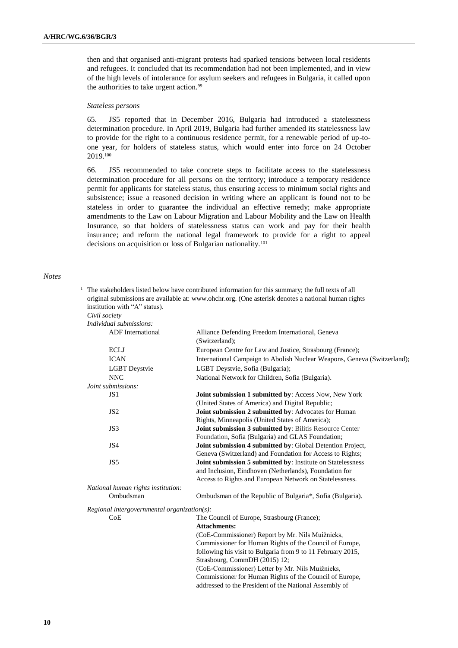then and that organised anti-migrant protests had sparked tensions between local residents and refugees. It concluded that its recommendation had not been implemented, and in view of the high levels of intolerance for asylum seekers and refugees in Bulgaria, it called upon the authorities to take urgent action.<sup>99</sup>

#### *Stateless persons*

65. JS5 reported that in December 2016, Bulgaria had introduced a statelessness determination procedure. In April 2019, Bulgaria had further amended its statelessness law to provide for the right to a continuous residence permit, for a renewable period of up-toone year, for holders of stateless status, which would enter into force on 24 October 2019.<sup>100</sup>

66. JS5 recommended to take concrete steps to facilitate access to the statelessness determination procedure for all persons on the territory; introduce a temporary residence permit for applicants for stateless status, thus ensuring access to minimum social rights and subsistence; issue a reasoned decision in writing where an applicant is found not to be stateless in order to guarantee the individual an effective remedy; make appropriate amendments to the Law on Labour Migration and Labour Mobility and the Law on Health Insurance, so that holders of statelessness status can work and pay for their health insurance; and reform the national legal framework to provide for a right to appeal decisions on acquisition or loss of Bulgarian nationality.<sup>101</sup>

#### *Notes*

|  |                                    | The stakeholders listed below have contributed information for this summary; the full texts of all<br>original submissions are available at: www.ohchr.org. (One asterisk denotes a national human rights |
|--|------------------------------------|-----------------------------------------------------------------------------------------------------------------------------------------------------------------------------------------------------------|
|  | institution with "A" status).      |                                                                                                                                                                                                           |
|  | Civil society                      |                                                                                                                                                                                                           |
|  | Individual submissions:            |                                                                                                                                                                                                           |
|  | <b>ADF</b> International           | Alliance Defending Freedom International, Geneva<br>(Switzerland);                                                                                                                                        |
|  | <b>ECLJ</b>                        | European Centre for Law and Justice, Strasbourg (France);                                                                                                                                                 |
|  | <b>ICAN</b>                        | International Campaign to Abolish Nuclear Weapons, Geneva (Switzerland):                                                                                                                                  |
|  | <b>LGBT</b> Deystvie               | LGBT Deystvie, Sofia (Bulgaria);                                                                                                                                                                          |
|  | <b>NNC</b>                         | National Network for Children, Sofia (Bulgaria).                                                                                                                                                          |
|  | Joint submissions:                 |                                                                                                                                                                                                           |
|  | JS1                                | <b>Joint submission 1 submitted by: Access Now, New York</b>                                                                                                                                              |
|  |                                    | (United States of America) and Digital Republic;                                                                                                                                                          |
|  | JS2                                | Joint submission 2 submitted by: Advocates for Human                                                                                                                                                      |
|  |                                    | Rights, Minneapolis (United States of America);                                                                                                                                                           |
|  | JS3                                | Joint submission 3 submitted by: Bilitis Resource Center                                                                                                                                                  |
|  |                                    | Foundation, Sofia (Bulgaria) and GLAS Foundation;                                                                                                                                                         |
|  | JS4                                | Joint submission 4 submitted by: Global Detention Project,                                                                                                                                                |
|  |                                    | Geneva (Switzerland) and Foundation for Access to Rights;                                                                                                                                                 |
|  | JS5                                | Joint submission 5 submitted by: Institute on Statelessness                                                                                                                                               |
|  |                                    | and Inclusion, Eindhoven (Netherlands), Foundation for                                                                                                                                                    |
|  |                                    | Access to Rights and European Network on Statelessness.                                                                                                                                                   |
|  | National human rights institution: |                                                                                                                                                                                                           |
|  |                                    |                                                                                                                                                                                                           |

Ombudsman **Ombudsman of the Republic of Bulgaria\***, Sofia (Bulgaria).

*Regional intergovernmental organization(s):*

CoE The Council of Europe, Strasbourg (France);

#### **Attachments:**

| (CoE-Commissioner) Report by Mr. Nils Muižnieks,            |  |  |
|-------------------------------------------------------------|--|--|
| Commissioner for Human Rights of the Council of Europe,     |  |  |
| following his visit to Bulgaria from 9 to 11 February 2015, |  |  |
| Strasbourg, CommDH (2015) 12;                               |  |  |
| (CoE-Commissioner) Letter by Mr. Nils Muižnieks,            |  |  |
| Commissioner for Human Rights of the Council of Europe,     |  |  |
| addressed to the President of the National Assembly of      |  |  |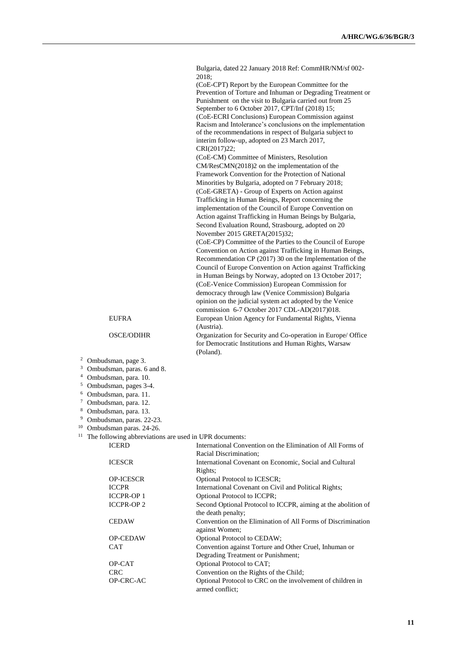Bulgaria, dated 22 January 2018 Ref: CommHR/NM/sf 002- 2018;

(CoE-CPT) Report by the European Committee for the Prevention of Torture and Inhuman or Degrading Treatment or Punishment on the visit to Bulgaria carried out from 25 September to 6 October 2017, CPT/Inf (2018) 15; (CoE-ECRI Conclusions) European Commission against Racism and Intolerance's conclusions on the implementation of the recommendations in respect of Bulgaria subject to interim follow-up, adopted on 23 March 2017, CRI(2017)22;

(CoE-CM) Committee of Ministers, Resolution CM/ResCMN(2018)2 on the implementation of the Framework Convention for the Protection of National Minorities by Bulgaria, adopted on 7 February 2018; (CoE-GRETA) - Group of Experts on Action against Trafficking in Human Beings, Report concerning the implementation of the Council of Europe Convention on Action against Trafficking in Human Beings by Bulgaria, Second Evaluation Round, Strasbourg, adopted on 20 November 2015 GRETA(2015)32;

(CoE-CP) Committee of the Parties to the Council of Europe Convention on Action against Trafficking in Human Beings, Recommendation CP (2017) 30 on the Implementation of the Council of Europe Convention on Action against Trafficking in Human Beings by Norway, adopted on 13 October 2017; (CoE-Venice Commission) European Commission for democracy through law (Venice Commission) Bulgaria opinion on the judicial system act adopted by the Venice commission 6-7 October 2017 CDL-AD(2017)018. EUFRA European Union Agency for Fundamental Rights, Vienna (Austria).

OSCE/ODIHR Organization for Security and Co-operation in Europe/ Office for Democratic Institutions and Human Rights, Warsaw (Poland).

- <sup>2</sup> Ombudsman, page 3.
- <sup>3</sup> Ombudsman, paras. 6 and 8.
- <sup>4</sup> Ombudsman, para. 10.
- <sup>5</sup> Ombudsman, pages 3-4.
- <sup>6</sup> Ombudsman, para. 11.
- 
- $^7$  Ombudsman, para. 12.<br>8 Ombudsman, para. 13 Ombudsman, para. 13.
- <sup>9</sup> Ombudsman, paras. 22-23.
- 
- <sup>10</sup> Ombudsman paras. 24-26.<br><sup>11</sup> The following abbreviation
- The following abbreviations are used in UPR documents:

| <b>ICERD</b>     | International Convention on the Elimination of All Forms of   |
|------------------|---------------------------------------------------------------|
|                  | Racial Discrimination;                                        |
| <b>ICESCR</b>    | International Covenant on Economic, Social and Cultural       |
|                  | Rights;                                                       |
| <b>OP-ICESCR</b> | Optional Protocol to ICESCR;                                  |
| <b>ICCPR</b>     | International Covenant on Civil and Political Rights;         |
| <b>ICCPR-OP1</b> | Optional Protocol to ICCPR;                                   |
| <b>ICCPR-OP2</b> | Second Optional Protocol to ICCPR, aiming at the abolition of |
|                  | the death penalty;                                            |
| <b>CEDAW</b>     | Convention on the Elimination of All Forms of Discrimination  |
|                  | against Women;                                                |
| <b>OP-CEDAW</b>  | <b>Optional Protocol to CEDAW;</b>                            |
| <b>CAT</b>       | Convention against Torture and Other Cruel, Inhuman or        |
|                  | Degrading Treatment or Punishment;                            |
| OP-CAT           | Optional Protocol to CAT;                                     |
| <b>CRC</b>       | Convention on the Rights of the Child;                        |
| OP-CRC-AC        | Optional Protocol to CRC on the involvement of children in    |
|                  | armed conflict:                                               |
|                  |                                                               |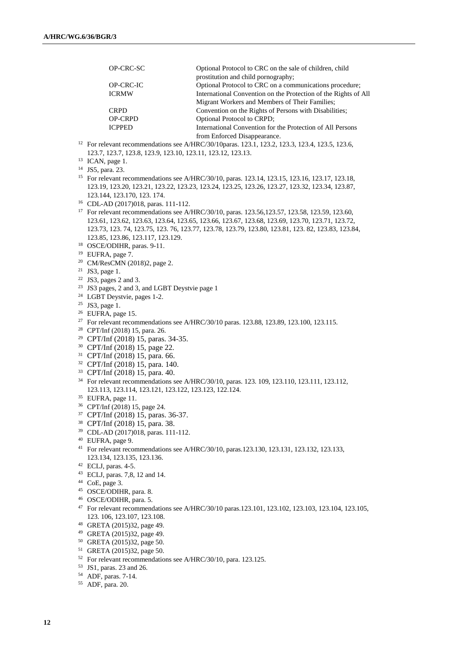| OP-CRC-SC      | Optional Protocol to CRC on the sale of children, child         |
|----------------|-----------------------------------------------------------------|
|                | prostitution and child pornography;                             |
| OP-CRC-IC      | Optional Protocol to CRC on a communications procedure;         |
| <b>ICRMW</b>   | International Convention on the Protection of the Rights of All |
|                | Migrant Workers and Members of Their Families;                  |
| <b>CRPD</b>    | Convention on the Rights of Persons with Disabilities;          |
| <b>OP-CRPD</b> | <b>Optional Protocol to CRPD:</b>                               |
| <b>ICPPED</b>  | International Convention for the Protection of All Persons      |
|                | from Enforced Disappearance.                                    |

- <sup>12</sup> For relevant recommendations see A/HRC/30/10paras. 123.1, 123.2, 123.3, 123.4, 123.5, 123.6, 123.7, 123.7, 123.8, 123.9, 123.10, 123.11, 123.12, 123.13.
- <sup>13</sup> ICAN, page 1.
- JS5, para. 23.
- For relevant recommendations see A/HRC/30/10, paras. 123.14, 123.15, 123.16, 123.17, 123.18, 123.19, 123.20, 123.21, 123.22, 123.23, 123.24, 123.25, 123.26, 123.27, 123.32, 123.34, 123.87, 123.144, 123.170, 123. 174.
- CDL-AD (2017)018, paras. 111-112.
- <sup>17</sup> For relevant recommendations see A/HRC/30/10, paras. 123.56,123.57, 123.58, 123.59, 123.60, 123.61, 123.62, 123.63, 123.64, 123.65, 123.66, 123.67, 123.68, 123.69, 123.70, 123.71, 123.72, 123.73, 123. 74, 123.75, 123. 76, 123.77, 123.78, 123.79, 123.80, 123.81, 123. 82, 123.83, 123.84, 123.85, 123.86, 123.117, 123.129.
- OSCE/ODIHR, paras. 9-11.
- EUFRA, page 7.
- CM/ResCMN (2018)2, page 2.
- JS3, page 1.
- JS3, pages 2 and 3.
- JS3 pages, 2 and 3, and LGBT Deystvie page 1
- LGBT Deystvie, pages 1-2.
- JS3, page 1.
- EUFRA, page 15.
- <sup>27</sup> For relevant recommendations see A/HRC/30/10 paras. 123.88, 123.89, 123.100, 123.115.
- CPT/Inf (2018) 15, para. 26.
- CPT/Inf (2018) 15, paras. 34-35.
- CPT/Inf (2018) 15, page 22.
- CPT/Inf (2018) 15, para. 66.
- CPT/Inf (2018) 15, para. 140.
- CPT/Inf (2018) 15, para. 40.
- For relevant recommendations see A/HRC/30/10, paras. 123. 109, 123.110, 123.111, 123.112, 123.113, 123.114, 123.121, 123.122, 123.123, 122.124.
- EUFRA, page 11.
- CPT/Inf (2018) 15, page 24.
- CPT/Inf (2018) 15, paras. 36-37.
- CPT/Inf (2018) 15, para. 38.
- CDL-AD (2017)018, paras. 111-112.
- EUFRA, page 9.
- For relevant recommendations see A/HRC/30/10, paras.123.130, 123.131, 123.132, 123.133, 123.134, 123.135, 123.136.
- ECLJ, paras. 4-5.
- ECLJ, paras. 7,8, 12 and 14.
- CoE, page 3.
- OSCE/ODIHR, para. 8.
- OSCE/ODIHR, para. 5.
- For relevant recommendations see A/HRC/30/10 paras.123.101, 123.102, 123.103, 123.104, 123.105, 123. 106, 123.107, 123.108.
- GRETA (2015)32, page 49.
- GRETA (2015)32, page 49.
- GRETA (2015)32, page 50.
- GRETA (2015)32, page 50.
- For relevant recommendations see A/HRC/30/10, para. 123.125.
- JS1, paras. 23 and 26.
- ADF, paras. 7-14.
- ADF, para. 20.